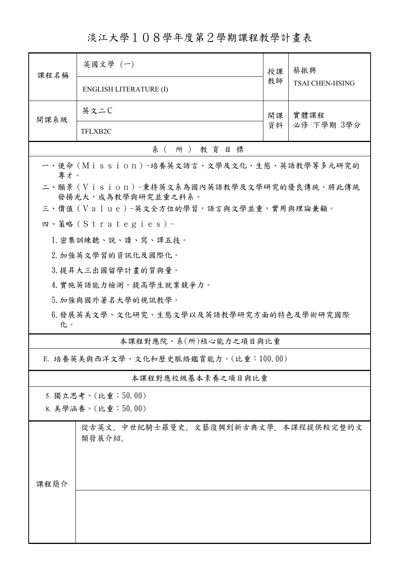淡江大學108學年度第2學期課程教學計畫表

| 課程名稱                                                             | 英國文學 (一)                                      | 授課 | 蔡振興<br><b>TSAI CHEN-HSING</b> |  |  |  |
|------------------------------------------------------------------|-----------------------------------------------|----|-------------------------------|--|--|--|
|                                                                  | <b>ENGLISH LITERATURE (I)</b>                 | 教師 |                               |  |  |  |
| 開課系級                                                             | 英文二C                                          | 開課 | 實體課程                          |  |  |  |
|                                                                  | TFLXB2C                                       | 資料 | 必修 下學期 3學分                    |  |  |  |
| 系(所)教育目標                                                         |                                               |    |                               |  |  |  |
| 一、使命 (Mission) -培養英文語言、文學及文化、生態、英語教學等多元研究的<br>專才。                |                                               |    |                               |  |  |  |
| 二、願景 (Vision)-秉持英文系為國內英語教學及文學研究的優良傳統,將此傳統<br>發揚光大, 成為教學與研究並重之科系。 |                                               |    |                               |  |  |  |
| 三、價值 (Value)-英文全方位的學習,語言與文學並重,實用與理論兼顧。                           |                                               |    |                               |  |  |  |
|                                                                  | 四、策略 (Strategies) -                           |    |                               |  |  |  |
|                                                                  | 1. 密集訓練聽、說、讀、寫、譯五技。                           |    |                               |  |  |  |
|                                                                  | 2. 加強英文學習的資訊化及國際化。                            |    |                               |  |  |  |
|                                                                  | 3. 提昇大三出國留學計畫的質與量。                            |    |                               |  |  |  |
|                                                                  | 4. 實施英語能力檢測,提高學生就業競爭力。                        |    |                               |  |  |  |
|                                                                  | 5. 加強與國外著名大學的視訊教學。                            |    |                               |  |  |  |
| 6.發展英美文學、文化研究、生態文學以及英語教學研究方面的特色及學術研究國際<br>化。                     |                                               |    |                               |  |  |  |
| 本課程對應院、系(所)核心能力之項目與比重                                            |                                               |    |                               |  |  |  |
| E. 培養英美與西洋文學、文化和歷史脈絡鑑賞能力。(比重:100.00)                             |                                               |    |                               |  |  |  |
| 本課程對應校級基本素養之項目與比重                                                |                                               |    |                               |  |  |  |
|                                                                  | 5. 獨立思考。(比重:50.00)                            |    |                               |  |  |  |
| 8. 美學涵養。(比重:50.00)                                               |                                               |    |                               |  |  |  |
|                                                                  | 從古英文、中世紀騎士羅曼史、文藝復興到新古典文學,本課程提供較完整的文<br>類發展介紹。 |    |                               |  |  |  |
| 课程简介                                                             |                                               |    |                               |  |  |  |
|                                                                  |                                               |    |                               |  |  |  |
|                                                                  |                                               |    |                               |  |  |  |
|                                                                  |                                               |    |                               |  |  |  |
|                                                                  |                                               |    |                               |  |  |  |
|                                                                  |                                               |    |                               |  |  |  |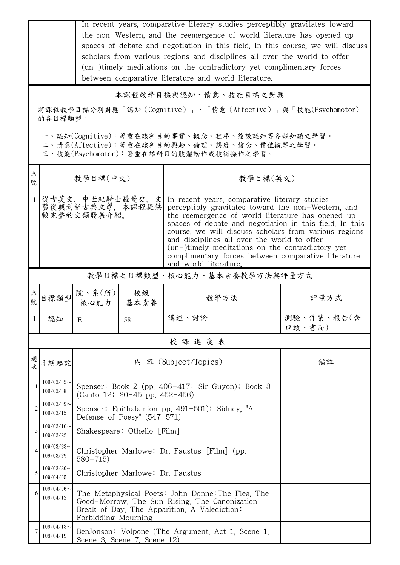|                | In recent years, comparative literary studies perceptibly gravitates toward<br>the non-Western, and the reemergence of world literature has opened up<br>spaces of debate and negotiation in this field. In this course, we will discuss<br>scholars from various regions and disciplines all over the world to offer<br>(un-)timely meditations on the contradictory yet complimentary forces<br>between comparative literature and world literature. |                                                                                                                                                                            |                                  |                                                                                                                                                                                                                                                                                                                                                                                                                                                                    |                      |  |  |
|----------------|--------------------------------------------------------------------------------------------------------------------------------------------------------------------------------------------------------------------------------------------------------------------------------------------------------------------------------------------------------------------------------------------------------------------------------------------------------|----------------------------------------------------------------------------------------------------------------------------------------------------------------------------|----------------------------------|--------------------------------------------------------------------------------------------------------------------------------------------------------------------------------------------------------------------------------------------------------------------------------------------------------------------------------------------------------------------------------------------------------------------------------------------------------------------|----------------------|--|--|
|                | 本課程教學目標與認知、情意、技能目標之對應                                                                                                                                                                                                                                                                                                                                                                                                                                  |                                                                                                                                                                            |                                  |                                                                                                                                                                                                                                                                                                                                                                                                                                                                    |                      |  |  |
|                | 將課程教學目標分別對應「認知(Cognitive)」、「情意(Affective)」與「技能(Psychomotor)」<br>的各目標類型。                                                                                                                                                                                                                                                                                                                                                                                |                                                                                                                                                                            |                                  |                                                                                                                                                                                                                                                                                                                                                                                                                                                                    |                      |  |  |
|                | 一、認知(Cognitive):著重在該科目的事實、概念、程序、後設認知等各類知識之學習。<br>二、情意(Affective):著重在該科目的興趣、倫理、態度、信念、價值觀等之學習。<br>三、技能(Psychomotor):著重在該科目的肢體動作或技術操作之學習。                                                                                                                                                                                                                                                                                                                 |                                                                                                                                                                            |                                  |                                                                                                                                                                                                                                                                                                                                                                                                                                                                    |                      |  |  |
| 序<br>號         |                                                                                                                                                                                                                                                                                                                                                                                                                                                        | 教學目標(中文)                                                                                                                                                                   |                                  | 教學目標(英文)                                                                                                                                                                                                                                                                                                                                                                                                                                                           |                      |  |  |
| $\mathbf{1}$   | 從古英文、中世紀騎士羅曼史、文<br>藝復興到新古典文學,本課程提供<br>較完整的文類發展介紹。                                                                                                                                                                                                                                                                                                                                                                                                      |                                                                                                                                                                            |                                  | In recent years, comparative literary studies<br>perceptibly gravitates toward the non-Western, and<br>the reemergence of world literature has opened up<br>spaces of debate and negotiation in this field. In this<br>course, we will discuss scholars from various regions<br>and disciplines all over the world to offer<br>$(un-)$ timely meditations on the contradictory yet<br>complimentary forces between comparative literature<br>and world literature. |                      |  |  |
|                | 教學目標之目標類型、核心能力、基本素養教學方法與評量方式                                                                                                                                                                                                                                                                                                                                                                                                                           |                                                                                                                                                                            |                                  |                                                                                                                                                                                                                                                                                                                                                                                                                                                                    |                      |  |  |
| 序<br>號         | 目標類型                                                                                                                                                                                                                                                                                                                                                                                                                                                   | 院、系 $(\text{m})$<br>核心能力   基本素養                                                                                                                                            | 校級                               | 教學方法                                                                                                                                                                                                                                                                                                                                                                                                                                                               | 評量方式                 |  |  |
|                | 認知   E                                                                                                                                                                                                                                                                                                                                                                                                                                                 |                                                                                                                                                                            | 58                               | 講述、討論                                                                                                                                                                                                                                                                                                                                                                                                                                                              | 測驗、作業、報告(含<br>口頭、書面) |  |  |
|                | 授課進度表                                                                                                                                                                                                                                                                                                                                                                                                                                                  |                                                                                                                                                                            |                                  |                                                                                                                                                                                                                                                                                                                                                                                                                                                                    |                      |  |  |
| 週<br>次         | 日期起訖                                                                                                                                                                                                                                                                                                                                                                                                                                                   | 內 容 (Subject/Topics)                                                                                                                                                       |                                  |                                                                                                                                                                                                                                                                                                                                                                                                                                                                    | 備註                   |  |  |
| 1              | $109/03/02$ ~<br>109/03/08                                                                                                                                                                                                                                                                                                                                                                                                                             | Spenser: Book 2 (pp. $406-417$ : Sir Guyon); Book 3<br>(Canto 12: 30-45 pp. 452-456)                                                                                       |                                  |                                                                                                                                                                                                                                                                                                                                                                                                                                                                    |                      |  |  |
| $\overline{2}$ | $109/03/09$ ~<br>109/03/15                                                                                                                                                                                                                                                                                                                                                                                                                             | Spenser: Epithalamion pp. 491-501); Sidney, "A<br>Defense of Poesy" $(547-571)$                                                                                            |                                  |                                                                                                                                                                                                                                                                                                                                                                                                                                                                    |                      |  |  |
| 3              | $109/03/16$ ~<br>109/03/22                                                                                                                                                                                                                                                                                                                                                                                                                             | Shakespeare: Othello [Film]                                                                                                                                                |                                  |                                                                                                                                                                                                                                                                                                                                                                                                                                                                    |                      |  |  |
| 4              | $109/03/23$ ~<br>109/03/29                                                                                                                                                                                                                                                                                                                                                                                                                             | Christopher Marlowe: Dr. Faustus [Film] (pp.<br>$580 - 715$                                                                                                                |                                  |                                                                                                                                                                                                                                                                                                                                                                                                                                                                    |                      |  |  |
| 5              | $109/03/30$ ~<br>109/04/05                                                                                                                                                                                                                                                                                                                                                                                                                             |                                                                                                                                                                            | Christopher Marlowe: Dr. Faustus |                                                                                                                                                                                                                                                                                                                                                                                                                                                                    |                      |  |  |
| 6              | $109/04/06$ ~<br>109/04/12                                                                                                                                                                                                                                                                                                                                                                                                                             | The Metaphysical Poets: John Donne: The Flea, The<br>Good-Morrow, The Sun Rising, The Canonization,<br>Break of Day, The Apparition, A Valediction:<br>Forbidding Mourning |                                  |                                                                                                                                                                                                                                                                                                                                                                                                                                                                    |                      |  |  |
| 7              | $109/04/13$ ~<br>109/04/19                                                                                                                                                                                                                                                                                                                                                                                                                             | BenJonson: Volpone (The Argument, Act 1, Scene 1,<br>Scene 3, Scene 7, Scene 12)                                                                                           |                                  |                                                                                                                                                                                                                                                                                                                                                                                                                                                                    |                      |  |  |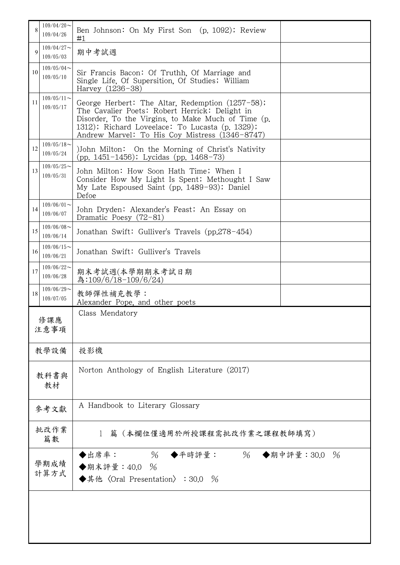| 8            | $109/04/20$ ~<br>109/04/26                                                                            | Ben Johnson: On My First Son (p. 1092); Review<br>#1                                                                                                                                                                                                          |  |  |
|--------------|-------------------------------------------------------------------------------------------------------|---------------------------------------------------------------------------------------------------------------------------------------------------------------------------------------------------------------------------------------------------------------|--|--|
| $\mathbf Q$  | $109/04/27$ ~<br>109/05/03                                                                            | 期中考試週                                                                                                                                                                                                                                                         |  |  |
| 10           | $109/05/04$ ~<br>109/05/10                                                                            | Sir Francis Bacon: Of Truthh, Of Marriage and<br>Single Life, Of Supersition, Of Studies; William<br>Harvey (1236-38)                                                                                                                                         |  |  |
| 11           | $109/05/11$ ~<br>109/05/17                                                                            | George Herbert: The Altar, Redemption (1257-58);<br>The Cavalier Poets: Robert Herrick: Delight in<br>Disorder, To the Virgins, to Make Much of Time (p.<br>1312); Richard Loveelace: To Lucasta (p. 1329);<br>Andrew Marvel: To His Coy Mistress (1346-8747) |  |  |
| 12           | $109/05/18$ ~<br>109/05/24                                                                            | )John Milton: On the Morning of Christ's Nativity<br>(pp. $1451 - 1456$ ); Lycidas (pp. $1468 - 73$ )                                                                                                                                                         |  |  |
| 13           | $109/05/25$ ~<br>109/05/31                                                                            | John Milton: How Soon Hath Time; When I<br>Consider How My Light Is Spent; Methought I Saw<br>My Late Espoused Saint (pp. 1489-93); Daniel<br>Defoe                                                                                                           |  |  |
| 14           | $109/06/01$ ~<br>John Dryden: Alexander's Feast; An Essay on<br>109/06/07<br>Dramatic Poesy $(72-81)$ |                                                                                                                                                                                                                                                               |  |  |
| 15           | $109/06/08$ ~<br>109/06/14                                                                            | Jonathan Swift: Gulliver's Travels (pp.278-454)                                                                                                                                                                                                               |  |  |
| 16           | $109/06/15$ ~<br>109/06/21                                                                            | Jonathan Swift: Gulliver's Travels                                                                                                                                                                                                                            |  |  |
| 17           | $109/06/22$ ~<br>109/06/28                                                                            | 期末考試週(本學期期末考試日期<br>為:109/6/18-109/6/24)                                                                                                                                                                                                                       |  |  |
| 18           | $109/06/29$ ~<br>109/07/05                                                                            | 教師彈性補充教學:<br>Alexander Pope, and other poets                                                                                                                                                                                                                  |  |  |
| 修課應<br>注意事項  |                                                                                                       | Class Mendatory                                                                                                                                                                                                                                               |  |  |
|              | 教學設備                                                                                                  | 投影機                                                                                                                                                                                                                                                           |  |  |
| 教科書與<br>教材   |                                                                                                       | Norton Anthology of English Literature (2017)                                                                                                                                                                                                                 |  |  |
| 參考文獻         |                                                                                                       | A Handbook to Literary Glossary                                                                                                                                                                                                                               |  |  |
|              | 批改作業<br>篇數                                                                                            | 篇(本欄位僅適用於所授課程需批改作業之課程教師填寫)                                                                                                                                                                                                                                    |  |  |
| 學期成績<br>計算方式 |                                                                                                       | $\%$<br>$\%$<br>◆出席率:<br>◆平時評量:<br>◆期中評量: 30.0 %<br>◆期末評量: 40.0 %<br>◆其他〈Oral Presentation〉: 30.0 %                                                                                                                                                           |  |  |
|              |                                                                                                       |                                                                                                                                                                                                                                                               |  |  |